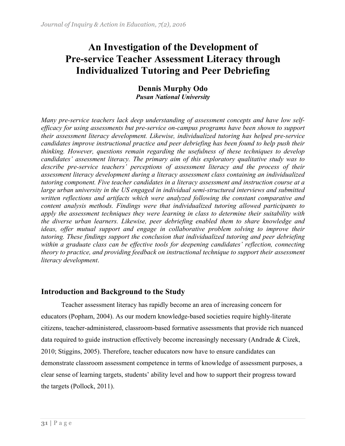# **An Investigation of the Development of Pre-service Teacher Assessment Literacy through Individualized Tutoring and Peer Debriefing**

**Dennis Murphy Odo** *Pusan National University*

*Many pre-service teachers lack deep understanding of assessment concepts and have low selfefficacy for using assessments but pre-service on-campus programs have been shown to support their assessment literacy development. Likewise, individualized tutoring has helped pre-service candidates improve instructional practice and peer debriefing has been found to help push their thinking. However, questions remain regarding the usefulness of these techniques to develop candidates' assessment literacy. The primary aim of this exploratory qualitative study was to describe pre-service teachers' perceptions of assessment literacy and the process of their assessment literacy development during a literacy assessment class containing an individualized tutoring component. Five teacher candidates in a literacy assessment and instruction course at a large urban university in the US engaged in individual semi-structured interviews and submitted written reflections and artifacts which were analyzed following the constant comparative and content analysis methods. Findings were that individualized tutoring allowed participants to apply the assessment techniques they were learning in class to determine their suitability with the diverse urban learners. Likewise, peer debriefing enabled them to share knowledge and ideas, offer mutual support and engage in collaborative problem solving to improve their tutoring. These findings support the conclusion that individualized tutoring and peer debriefing within a graduate class can be effective tools for deepening candidates' reflection, connecting theory to practice, and providing feedback on instructional technique to support their assessment literacy development*.

# **Introduction and Background to the Study**

Teacher assessment literacy has rapidly become an area of increasing concern for educators (Popham, 2004). As our modern knowledge-based societies require highly-literate citizens, teacher-administered, classroom-based formative assessments that provide rich nuanced data required to guide instruction effectively become increasingly necessary (Andrade & Cizek, 2010; Stiggins, 2005). Therefore, teacher educators now have to ensure candidates can demonstrate classroom assessment competence in terms of knowledge of assessment purposes, a clear sense of learning targets, students' ability level and how to support their progress toward the targets (Pollock, 2011).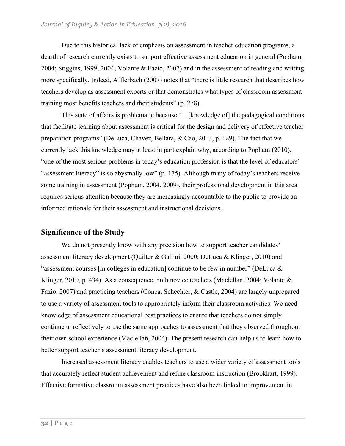Due to this historical lack of emphasis on assessment in teacher education programs, a dearth of research currently exists to support effective assessment education in general (Popham, 2004; Stiggins, 1999, 2004; Volante & Fazio, 2007) and in the assessment of reading and writing more specifically. Indeed, Afflerbach (2007) notes that "there is little research that describes how teachers develop as assessment experts or that demonstrates what types of classroom assessment training most benefits teachers and their students" (p. 278).

This state of affairs is problematic because "…[knowledge of] the pedagogical conditions that facilitate learning about assessment is critical for the design and delivery of effective teacher preparation programs" (DeLuca, Chavez, Bellara, & Cao, 2013, p. 129). The fact that we currently lack this knowledge may at least in part explain why, according to Popham (2010), "one of the most serious problems in today's education profession is that the level of educators' "assessment literacy" is so abysmally low" (p. 175). Although many of today's teachers receive some training in assessment (Popham, 2004, 2009), their professional development in this area requires serious attention because they are increasingly accountable to the public to provide an informed rationale for their assessment and instructional decisions.

# **Significance of the Study**

We do not presently know with any precision how to support teacher candidates' assessment literacy development (Quilter & Gallini, 2000; DeLuca & Klinger, 2010) and "assessment courses [in colleges in education] continue to be few in number" (DeLuca  $\&$ Klinger, 2010, p. 434). As a consequence, both novice teachers (Maclellan, 2004; Volante  $\&$ Fazio, 2007) and practicing teachers (Conca, Schechter, & Castle, 2004) are largely unprepared to use a variety of assessment tools to appropriately inform their classroom activities. We need knowledge of assessment educational best practices to ensure that teachers do not simply continue unreflectively to use the same approaches to assessment that they observed throughout their own school experience (Maclellan, 2004). The present research can help us to learn how to better support teacher's assessment literacy development.

Increased assessment literacy enables teachers to use a wider variety of assessment tools that accurately reflect student achievement and refine classroom instruction (Brookhart, 1999). Effective formative classroom assessment practices have also been linked to improvement in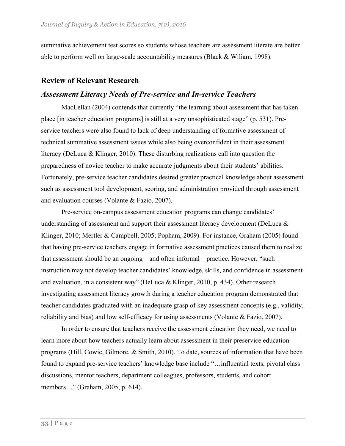summative achievement test scores so students whose teachers are assessment literate are better able to perform well on large-scale accountability measures (Black & Wiliam, 1998).

#### **Review of Relevant Research**

## *Assessment Literacy Needs of Pre-service and In-service Teachers*

MacLellan (2004) contends that currently "the learning about assessment that has taken place [in teacher education programs] is still at a very unsophisticated stage" (p. 531). Preservice teachers were also found to lack of deep understanding of formative assessment of technical summative assessment issues while also being overconfident in their assessment literacy (DeLuca & Klinger, 2010). These disturbing realizations call into question the preparedness of novice teacher to make accurate judgments about their students' abilities. Fortunately, pre-service teacher candidates desired greater practical knowledge about assessment such as assessment tool development, scoring, and administration provided through assessment and evaluation courses (Volante & Fazio, 2007).

Pre-service on-campus assessment education programs can change candidates' understanding of assessment and support their assessment literacy development (DeLuca  $\&$ Klinger, 2010; Mertler & Campbell, 2005; Popham, 2009). For instance, Graham (2005) found that having pre-service teachers engage in formative assessment practices caused them to realize that assessment should be an ongoing – and often informal – practice. However, "such instruction may not develop teacher candidates' knowledge, skills, and confidence in assessment and evaluation, in a consistent way" (DeLuca & Klinger, 2010, p. 434). Other research investigating assessment literacy growth during a teacher education program demonstrated that teacher candidates graduated with an inadequate grasp of key assessment concepts (e.g., validity, reliability and bias) and low self-efficacy for using assessments (Volante & Fazio, 2007).

In order to ensure that teachers receive the assessment education they need, we need to learn more about how teachers actually learn about assessment in their preservice education programs (Hill, Cowie, Gilmore, & Smith, 2010). To date, sources of information that have been found to expand pre-service teachers' knowledge base include "…influential texts, pivotal class discussions, mentor teachers, department colleagues, professors, students, and cohort members…" (Graham, 2005, p. 614).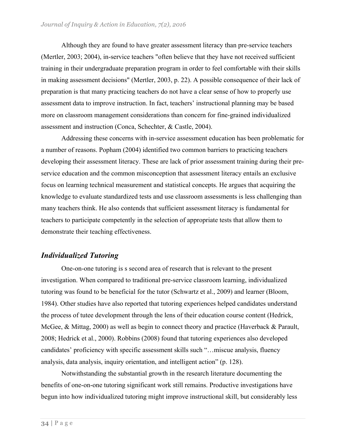Although they are found to have greater assessment literacy than pre-service teachers (Mertler, 2003; 2004), in-service teachers "often believe that they have not received sufficient training in their undergraduate preparation program in order to feel comfortable with their skills in making assessment decisions" (Mertler, 2003, p. 22). A possible consequence of their lack of preparation is that many practicing teachers do not have a clear sense of how to properly use assessment data to improve instruction. In fact, teachers' instructional planning may be based more on classroom management considerations than concern for fine-grained individualized assessment and instruction (Conca, Schechter, & Castle, 2004).

Addressing these concerns with in-service assessment education has been problematic for a number of reasons. Popham (2004) identified two common barriers to practicing teachers developing their assessment literacy. These are lack of prior assessment training during their preservice education and the common misconception that assessment literacy entails an exclusive focus on learning technical measurement and statistical concepts. He argues that acquiring the knowledge to evaluate standardized tests and use classroom assessments is less challenging than many teachers think. He also contends that sufficient assessment literacy is fundamental for teachers to participate competently in the selection of appropriate tests that allow them to demonstrate their teaching effectiveness.

## *Individualized Tutoring*

One-on-one tutoring is s second area of research that is relevant to the present investigation. When compared to traditional pre-service classroom learning, individualized tutoring was found to be beneficial for the tutor (Schwartz et al., 2009) and learner (Bloom, 1984). Other studies have also reported that tutoring experiences helped candidates understand the process of tutee development through the lens of their education course content (Hedrick, McGee, & Mittag, 2000) as well as begin to connect theory and practice (Haverback & Parault, 2008; Hedrick et al., 2000). Robbins (2008) found that tutoring experiences also developed candidates' proficiency with specific assessment skills such "…miscue analysis, fluency analysis, data analysis, inquiry orientation, and intelligent action" (p. 128).

Notwithstanding the substantial growth in the research literature documenting the benefits of one-on-one tutoring significant work still remains. Productive investigations have begun into how individualized tutoring might improve instructional skill, but considerably less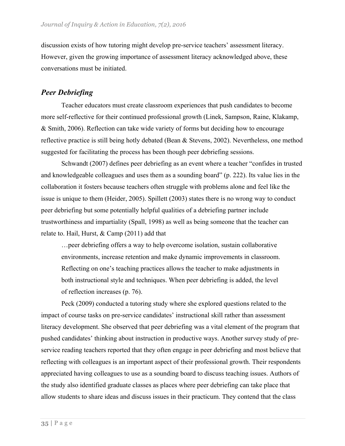discussion exists of how tutoring might develop pre-service teachers' assessment literacy. However, given the growing importance of assessment literacy acknowledged above, these conversations must be initiated.

# *Peer Debriefing*

Teacher educators must create classroom experiences that push candidates to become more self-reflective for their continued professional growth (Linek, Sampson, Raine, Klakamp, & Smith, 2006). Reflection can take wide variety of forms but deciding how to encourage reflective practice is still being hotly debated (Bean & Stevens, 2002). Nevertheless, one method suggested for facilitating the process has been though peer debriefing sessions.

Schwandt (2007) defines peer debriefing as an event where a teacher "confides in trusted and knowledgeable colleagues and uses them as a sounding board" (p. 222). Its value lies in the collaboration it fosters because teachers often struggle with problems alone and feel like the issue is unique to them (Heider, 2005). Spillett (2003) states there is no wrong way to conduct peer debriefing but some potentially helpful qualities of a debriefing partner include trustworthiness and impartiality (Spall, 1998) as well as being someone that the teacher can relate to. Hail, Hurst, & Camp (2011) add that

…peer debriefing offers a way to help overcome isolation, sustain collaborative environments, increase retention and make dynamic improvements in classroom. Reflecting on one's teaching practices allows the teacher to make adjustments in both instructional style and techniques. When peer debriefing is added, the level of reflection increases (p. 76).

Peck (2009) conducted a tutoring study where she explored questions related to the impact of course tasks on pre-service candidates' instructional skill rather than assessment literacy development. She observed that peer debriefing was a vital element of the program that pushed candidates' thinking about instruction in productive ways. Another survey study of preservice reading teachers reported that they often engage in peer debriefing and most believe that reflecting with colleagues is an important aspect of their professional growth. Their respondents appreciated having colleagues to use as a sounding board to discuss teaching issues. Authors of the study also identified graduate classes as places where peer debriefing can take place that allow students to share ideas and discuss issues in their practicum. They contend that the class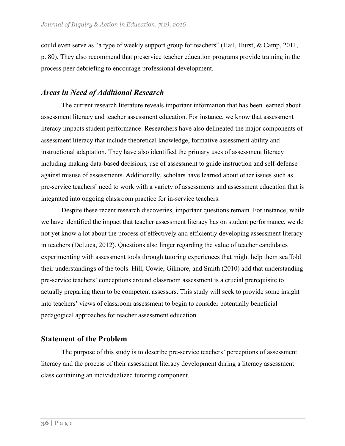could even serve as "a type of weekly support group for teachers" (Hail, Hurst, & Camp, 2011, p. 80). They also recommend that preservice teacher education programs provide training in the process peer debriefing to encourage professional development.

## *Areas in Need of Additional Research*

The current research literature reveals important information that has been learned about assessment literacy and teacher assessment education. For instance, we know that assessment literacy impacts student performance. Researchers have also delineated the major components of assessment literacy that include theoretical knowledge, formative assessment ability and instructional adaptation. They have also identified the primary uses of assessment literacy including making data-based decisions, use of assessment to guide instruction and self-defense against misuse of assessments. Additionally, scholars have learned about other issues such as pre-service teachers' need to work with a variety of assessments and assessment education that is integrated into ongoing classroom practice for in-service teachers.

Despite these recent research discoveries, important questions remain. For instance, while we have identified the impact that teacher assessment literacy has on student performance, we do not yet know a lot about the process of effectively and efficiently developing assessment literacy in teachers (DeLuca, 2012). Questions also linger regarding the value of teacher candidates experimenting with assessment tools through tutoring experiences that might help them scaffold their understandings of the tools. Hill, Cowie, Gilmore, and Smith (2010) add that understanding pre-service teachers' conceptions around classroom assessment is a crucial prerequisite to actually preparing them to be competent assessors. This study will seek to provide some insight into teachers' views of classroom assessment to begin to consider potentially beneficial pedagogical approaches for teacher assessment education.

#### **Statement of the Problem**

The purpose of this study is to describe pre-service teachers' perceptions of assessment literacy and the process of their assessment literacy development during a literacy assessment class containing an individualized tutoring component.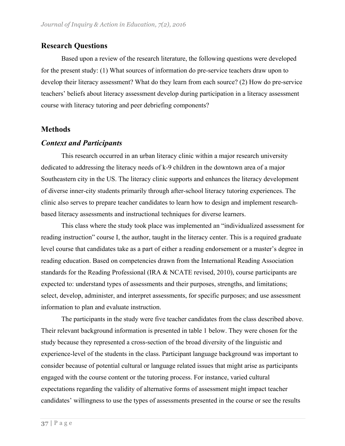# **Research Questions**

Based upon a review of the research literature, the following questions were developed for the present study: (1) What sources of information do pre-service teachers draw upon to develop their literacy assessment? What do they learn from each source? (2) How do pre-service teachers' beliefs about literacy assessment develop during participation in a literacy assessment course with literacy tutoring and peer debriefing components?

#### **Methods**

#### *Context and Participants*

This research occurred in an urban literacy clinic within a major research university dedicated to addressing the literacy needs of k-9 children in the downtown area of a major Southeastern city in the US. The literacy clinic supports and enhances the literacy development of diverse inner-city students primarily through after-school literacy tutoring experiences. The clinic also serves to prepare teacher candidates to learn how to design and implement researchbased literacy assessments and instructional techniques for diverse learners.

This class where the study took place was implemented an "individualized assessment for reading instruction" course I, the author, taught in the literacy center. This is a required graduate level course that candidates take as a part of either a reading endorsement or a master's degree in reading education. Based on competencies drawn from the International Reading Association standards for the Reading Professional (IRA & NCATE revised, 2010), course participants are expected to: understand types of assessments and their purposes, strengths, and limitations; select, develop, administer, and interpret assessments, for specific purposes; and use assessment information to plan and evaluate instruction.

The participants in the study were five teacher candidates from the class described above. Their relevant background information is presented in table 1 below. They were chosen for the study because they represented a cross-section of the broad diversity of the linguistic and experience-level of the students in the class. Participant language background was important to consider because of potential cultural or language related issues that might arise as participants engaged with the course content or the tutoring process. For instance, varied cultural expectations regarding the validity of alternative forms of assessment might impact teacher candidates' willingness to use the types of assessments presented in the course or see the results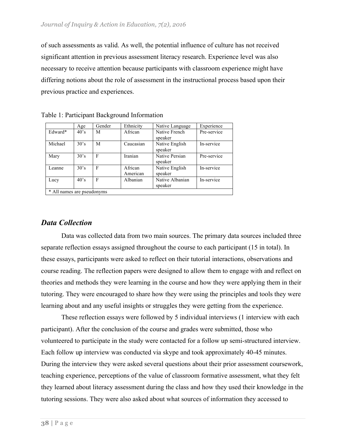of such assessments as valid. As well, the potential influence of culture has not received significant attention in previous assessment literacy research. Experience level was also necessary to receive attention because participants with classroom experience might have differing notions about the role of assessment in the instructional process based upon their previous practice and experiences.

|         | Age          | Gender | Ethnicity           | Native Language            | Experience  |
|---------|--------------|--------|---------------------|----------------------------|-------------|
| Edward* | $40^\circ s$ | M      | African             | Native French<br>speaker   | Pre-service |
| Michael | 30's         | M      | Caucasian           | Native English<br>speaker  | In-service  |
| Mary    | 30's         | F      | Iranian             | Native Persian<br>speaker  | Pre-service |
| Leanne  | 30's         | F      | African<br>American | Native English<br>speaker  | In-service  |
| Lucy    | 40's         | F      | Albanian            | Native Albanian<br>speaker | In-service  |

|  |  | Table 1: Participant Background Information |  |
|--|--|---------------------------------------------|--|
|  |  |                                             |  |

#### *Data Collection*

Data was collected data from two main sources. The primary data sources included three separate reflection essays assigned throughout the course to each participant (15 in total). In these essays, participants were asked to reflect on their tutorial interactions, observations and course reading. The reflection papers were designed to allow them to engage with and reflect on theories and methods they were learning in the course and how they were applying them in their tutoring. They were encouraged to share how they were using the principles and tools they were learning about and any useful insights or struggles they were getting from the experience.

These reflection essays were followed by 5 individual interviews (1 interview with each participant). After the conclusion of the course and grades were submitted, those who volunteered to participate in the study were contacted for a follow up semi-structured interview. Each follow up interview was conducted via skype and took approximately 40-45 minutes. During the interview they were asked several questions about their prior assessment coursework, teaching experience, perceptions of the value of classroom formative assessment, what they felt they learned about literacy assessment during the class and how they used their knowledge in the tutoring sessions. They were also asked about what sources of information they accessed to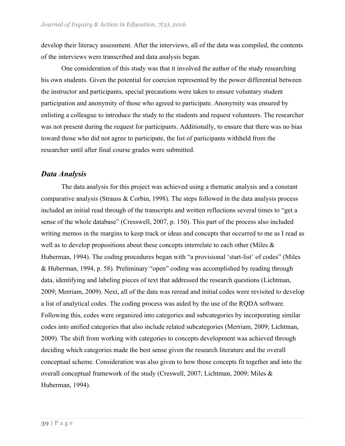develop their literacy assessment. After the interviews, all of the data was compiled, the contents of the interviews were transcribed and data analysis began.

One consideration of this study was that it involved the author of the study researching his own students. Given the potential for coercion represented by the power differential between the instructor and participants, special precautions were taken to ensure voluntary student participation and anonymity of those who agreed to participate. Anonymity was ensured by enlisting a colleague to introduce the study to the students and request volunteers. The researcher was not present during the request for participants. Additionally, to ensure that there was no bias toward those who did not agree to participate, the list of participants withheld from the researcher until after final course grades were submitted.

#### *Data Analysis*

The data analysis for this project was achieved using a thematic analysis and a constant comparative analysis (Strauss & Corbin, 1998). The steps followed in the data analysis process included an initial read through of the transcripts and written reflections several times to "get a sense of the whole database" (Cresswell, 2007, p. 150). This part of the process also included writing memos in the margins to keep track or ideas and concepts that occurred to me as I read as well as to develop propositions about these concepts interrelate to each other (Miles & Huberman, 1994). The coding procedures began with "a provisional 'start-list' of codes" (Miles & Huberman, 1994, p. 58). Preliminary "open" coding was accomplished by reading through data, identifying and labeling pieces of text that addressed the research questions (Lichtman, 2009; Merriam, 2009). Next, all of the data was reread and initial codes were revisited to develop a list of analytical codes. The coding process was aided by the use of the RQDA software. Following this, codes were organized into categories and subcategories by incorporating similar codes into unified categories that also include related subcategories (Merriam, 2009; Lichtman, 2009). The shift from working with categories to concepts development was achieved through deciding which categories made the best sense given the research literature and the overall conceptual scheme. Consideration was also given to how those concepts fit together and into the overall conceptual framework of the study (Creswell, 2007; Lichtman, 2009; Miles & Huberman, 1994).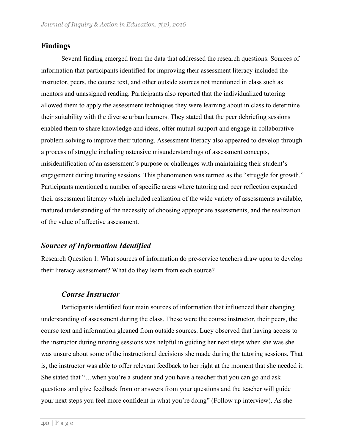# **Findings**

Several finding emerged from the data that addressed the research questions. Sources of information that participants identified for improving their assessment literacy included the instructor, peers, the course text, and other outside sources not mentioned in class such as mentors and unassigned reading. Participants also reported that the individualized tutoring allowed them to apply the assessment techniques they were learning about in class to determine their suitability with the diverse urban learners. They stated that the peer debriefing sessions enabled them to share knowledge and ideas, offer mutual support and engage in collaborative problem solving to improve their tutoring. Assessment literacy also appeared to develop through a process of struggle including ostensive misunderstandings of assessment concepts, misidentification of an assessment's purpose or challenges with maintaining their student's engagement during tutoring sessions. This phenomenon was termed as the "struggle for growth." Participants mentioned a number of specific areas where tutoring and peer reflection expanded their assessment literacy which included realization of the wide variety of assessments available, matured understanding of the necessity of choosing appropriate assessments, and the realization of the value of affective assessment.

# *Sources of Information Identified*

Research Question 1: What sources of information do pre-service teachers draw upon to develop their literacy assessment? What do they learn from each source?

#### *Course Instructor*

Participants identified four main sources of information that influenced their changing understanding of assessment during the class. These were the course instructor, their peers, the course text and information gleaned from outside sources. Lucy observed that having access to the instructor during tutoring sessions was helpful in guiding her next steps when she was she was unsure about some of the instructional decisions she made during the tutoring sessions. That is, the instructor was able to offer relevant feedback to her right at the moment that she needed it. She stated that "... when you're a student and you have a teacher that you can go and ask questions and give feedback from or answers from your questions and the teacher will guide your next steps you feel more confident in what you're doing" (Follow up interview). As she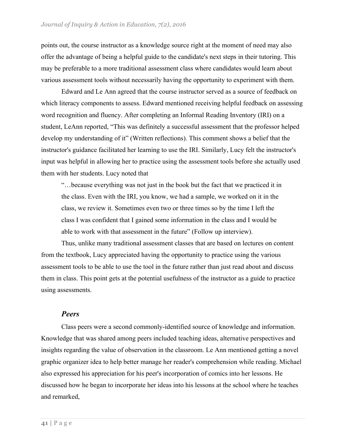points out, the course instructor as a knowledge source right at the moment of need may also offer the advantage of being a helpful guide to the candidate's next steps in their tutoring. This may be preferable to a more traditional assessment class where candidates would learn about various assessment tools without necessarily having the opportunity to experiment with them.

Edward and Le Ann agreed that the course instructor served as a source of feedback on which literacy components to assess. Edward mentioned receiving helpful feedback on assessing word recognition and fluency. After completing an Informal Reading Inventory (IRI) on a student, LeAnn reported, "This was definitely a successful assessment that the professor helped develop my understanding of it" (Written reflections). This comment shows a belief that the instructor's guidance facilitated her learning to use the IRI. Similarly, Lucy felt the instructor's input was helpful in allowing her to practice using the assessment tools before she actually used them with her students. Lucy noted that

"…because everything was not just in the book but the fact that we practiced it in the class. Even with the IRI, you know, we had a sample, we worked on it in the class, we review it. Sometimes even two or three times so by the time I left the class I was confident that I gained some information in the class and I would be able to work with that assessment in the future" (Follow up interview).

Thus, unlike many traditional assessment classes that are based on lectures on content from the textbook, Lucy appreciated having the opportunity to practice using the various assessment tools to be able to use the tool in the future rather than just read about and discuss them in class. This point gets at the potential usefulness of the instructor as a guide to practice using assessments.

#### *Peers*

Class peers were a second commonly-identified source of knowledge and information. Knowledge that was shared among peers included teaching ideas, alternative perspectives and insights regarding the value of observation in the classroom. Le Ann mentioned getting a novel graphic organizer idea to help better manage her reader's comprehension while reading. Michael also expressed his appreciation for his peer's incorporation of comics into her lessons. He discussed how he began to incorporate her ideas into his lessons at the school where he teaches and remarked,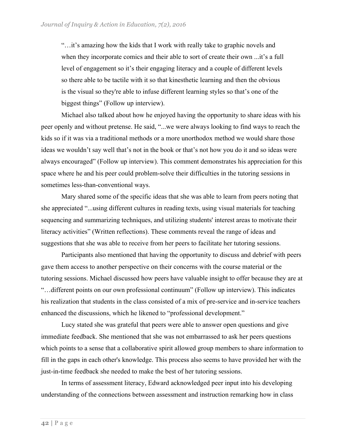"…it's amazing how the kids that I work with really take to graphic novels and when they incorporate comics and their able to sort of create their own ...it's a full level of engagement so it's their engaging literacy and a couple of different levels so there able to be tactile with it so that kinesthetic learning and then the obvious is the visual so they're able to infuse different learning styles so that's one of the biggest things" (Follow up interview).

Michael also talked about how he enjoyed having the opportunity to share ideas with his peer openly and without pretense. He said, "...we were always looking to find ways to reach the kids so if it was via a traditional methods or a more unorthodox method we would share those ideas we wouldn't say well that's not in the book or that's not how you do it and so ideas were always encouraged" (Follow up interview). This comment demonstrates his appreciation for this space where he and his peer could problem-solve their difficulties in the tutoring sessions in sometimes less-than-conventional ways.

Mary shared some of the specific ideas that she was able to learn from peers noting that she appreciated "...using different cultures in reading texts, using visual materials for teaching sequencing and summarizing techniques, and utilizing students' interest areas to motivate their literacy activities" (Written reflections). These comments reveal the range of ideas and suggestions that she was able to receive from her peers to facilitate her tutoring sessions.

Participants also mentioned that having the opportunity to discuss and debrief with peers gave them access to another perspective on their concerns with the course material or the tutoring sessions. Michael discussed how peers have valuable insight to offer because they are at "…different points on our own professional continuum" (Follow up interview). This indicates his realization that students in the class consisted of a mix of pre-service and in-service teachers enhanced the discussions, which he likened to "professional development."

Lucy stated she was grateful that peers were able to answer open questions and give immediate feedback. She mentioned that she was not embarrassed to ask her peers questions which points to a sense that a collaborative spirit allowed group members to share information to fill in the gaps in each other's knowledge. This process also seems to have provided her with the just-in-time feedback she needed to make the best of her tutoring sessions.

In terms of assessment literacy, Edward acknowledged peer input into his developing understanding of the connections between assessment and instruction remarking how in class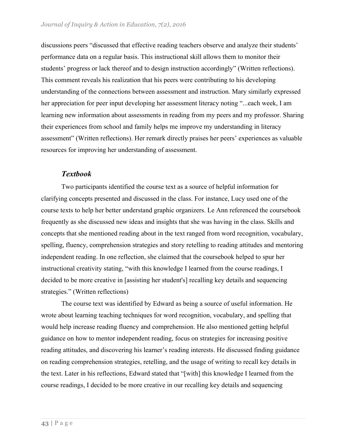discussions peers "discussed that effective reading teachers observe and analyze their students' performance data on a regular basis. This instructional skill allows them to monitor their students' progress or lack thereof and to design instruction accordingly" (Written reflections). This comment reveals his realization that his peers were contributing to his developing understanding of the connections between assessment and instruction. Mary similarly expressed her appreciation for peer input developing her assessment literacy noting "...each week, I am learning new information about assessments in reading from my peers and my professor. Sharing their experiences from school and family helps me improve my understanding in literacy assessment" (Written reflections). Her remark directly praises her peers' experiences as valuable resources for improving her understanding of assessment.

#### *Textbook*

Two participants identified the course text as a source of helpful information for clarifying concepts presented and discussed in the class. For instance, Lucy used one of the course texts to help her better understand graphic organizers. Le Ann referenced the coursebook frequently as she discussed new ideas and insights that she was having in the class. Skills and concepts that she mentioned reading about in the text ranged from word recognition, vocabulary, spelling, fluency, comprehension strategies and story retelling to reading attitudes and mentoring independent reading. In one reflection, she claimed that the coursebook helped to spur her instructional creativity stating, "with this knowledge I learned from the course readings, I decided to be more creative in [assisting her student's] recalling key details and sequencing strategies." (Written reflections)

The course text was identified by Edward as being a source of useful information. He wrote about learning teaching techniques for word recognition, vocabulary, and spelling that would help increase reading fluency and comprehension. He also mentioned getting helpful guidance on how to mentor independent reading, focus on strategies for increasing positive reading attitudes, and discovering his learner's reading interests. He discussed finding guidance on reading comprehension strategies, retelling, and the usage of writing to recall key details in the text. Later in his reflections, Edward stated that "[with] this knowledge I learned from the course readings, I decided to be more creative in our recalling key details and sequencing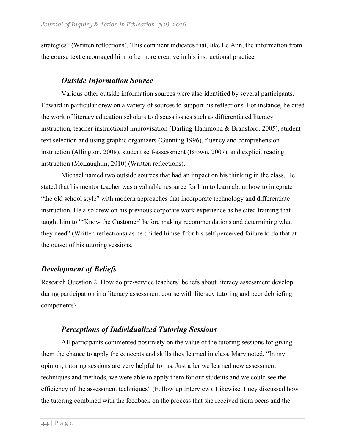strategies" (Written reflections). This comment indicates that, like Le Ann, the information from the course text encouraged him to be more creative in his instructional practice.

#### *Outside Information Source*

Various other outside information sources were also identified by several participants. Edward in particular drew on a variety of sources to support his reflections. For instance, he cited the work of literacy education scholars to discuss issues such as differentiated literacy instruction, teacher instructional improvisation (Darling-Hammond & Bransford, 2005), student text selection and using graphic organizers (Gunning 1996), fluency and comprehension instruction (Allington, 2008), student self-assessment (Brown, 2007), and explicit reading instruction (McLaughlin, 2010) (Written reflections).

Michael named two outside sources that had an impact on his thinking in the class. He stated that his mentor teacher was a valuable resource for him to learn about how to integrate "the old school style" with modern approaches that incorporate technology and differentiate instruction. He also drew on his previous corporate work experience as he cited training that taught him to "'Know the Customer' before making recommendations and determining what they need" (Written reflections) as he chided himself for his self-perceived failure to do that at the outset of his tutoring sessions.

#### *Development of Beliefs*

Research Question 2: How do pre-service teachers' beliefs about literacy assessment develop during participation in a literacy assessment course with literacy tutoring and peer debriefing components?

## *Perceptions of Individualized Tutoring Sessions*

All participants commented positively on the value of the tutoring sessions for giving them the chance to apply the concepts and skills they learned in class. Mary noted, "In my opinion, tutoring sessions are very helpful for us. Just after we learned new assessment techniques and methods, we were able to apply them for our students and we could see the efficiency of the assessment techniques" (Follow up Interview). Likewise, Lucy discussed how the tutoring combined with the feedback on the process that she received from peers and the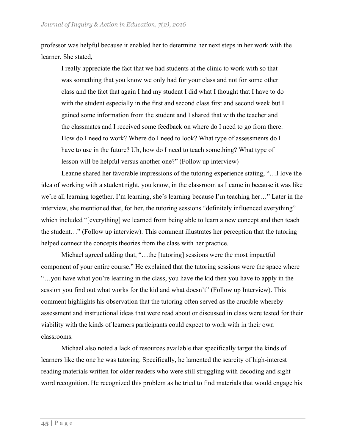professor was helpful because it enabled her to determine her next steps in her work with the learner. She stated,

I really appreciate the fact that we had students at the clinic to work with so that was something that you know we only had for your class and not for some other class and the fact that again I had my student I did what I thought that I have to do with the student especially in the first and second class first and second week but I gained some information from the student and I shared that with the teacher and the classmates and I received some feedback on where do I need to go from there. How do I need to work? Where do I need to look? What type of assessments do I have to use in the future? Uh, how do I need to teach something? What type of lesson will be helpful versus another one?" (Follow up interview)

Leanne shared her favorable impressions of the tutoring experience stating, "…I love the idea of working with a student right, you know, in the classroom as I came in because it was like we're all learning together. I'm learning, she's learning because I'm teaching her…" Later in the interview, she mentioned that, for her, the tutoring sessions "definitely influenced everything" which included "[everything] we learned from being able to learn a new concept and then teach the student…" (Follow up interview). This comment illustrates her perception that the tutoring helped connect the concepts theories from the class with her practice.

Michael agreed adding that, "…the [tutoring] sessions were the most impactful component of your entire course." He explained that the tutoring sessions were the space where "…you have what you're learning in the class, you have the kid then you have to apply in the session you find out what works for the kid and what doesn't" (Follow up Interview). This comment highlights his observation that the tutoring often served as the crucible whereby assessment and instructional ideas that were read about or discussed in class were tested for their viability with the kinds of learners participants could expect to work with in their own classrooms.

Michael also noted a lack of resources available that specifically target the kinds of learners like the one he was tutoring. Specifically, he lamented the scarcity of high-interest reading materials written for older readers who were still struggling with decoding and sight word recognition. He recognized this problem as he tried to find materials that would engage his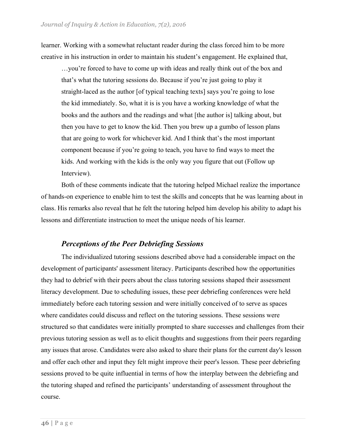learner. Working with a somewhat reluctant reader during the class forced him to be more creative in his instruction in order to maintain his student's engagement. He explained that,

…you're forced to have to come up with ideas and really think out of the box and that's what the tutoring sessions do. Because if you're just going to play it straight-laced as the author [of typical teaching texts] says you're going to lose the kid immediately. So, what it is is you have a working knowledge of what the books and the authors and the readings and what [the author is] talking about, but then you have to get to know the kid. Then you brew up a gumbo of lesson plans that are going to work for whichever kid. And I think that's the most important component because if you're going to teach, you have to find ways to meet the kids. And working with the kids is the only way you figure that out (Follow up Interview).

Both of these comments indicate that the tutoring helped Michael realize the importance of hands-on experience to enable him to test the skills and concepts that he was learning about in class. His remarks also reveal that he felt the tutoring helped him develop his ability to adapt his lessons and differentiate instruction to meet the unique needs of his learner.

## *Perceptions of the Peer Debriefing Sessions*

The individualized tutoring sessions described above had a considerable impact on the development of participants' assessment literacy. Participants described how the opportunities they had to debrief with their peers about the class tutoring sessions shaped their assessment literacy development. Due to scheduling issues, these peer debriefing conferences were held immediately before each tutoring session and were initially conceived of to serve as spaces where candidates could discuss and reflect on the tutoring sessions. These sessions were structured so that candidates were initially prompted to share successes and challenges from their previous tutoring session as well as to elicit thoughts and suggestions from their peers regarding any issues that arose. Candidates were also asked to share their plans for the current day's lesson and offer each other and input they felt might improve their peer's lesson. These peer debriefing sessions proved to be quite influential in terms of how the interplay between the debriefing and the tutoring shaped and refined the participants' understanding of assessment throughout the course.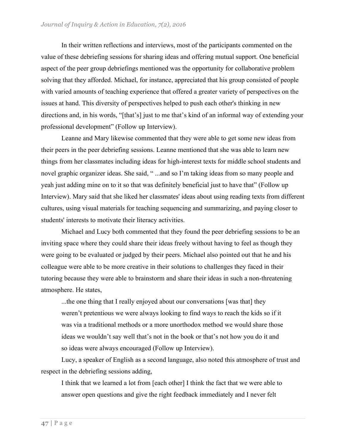In their written reflections and interviews, most of the participants commented on the value of these debriefing sessions for sharing ideas and offering mutual support. One beneficial aspect of the peer group debriefings mentioned was the opportunity for collaborative problem solving that they afforded. Michael, for instance, appreciated that his group consisted of people with varied amounts of teaching experience that offered a greater variety of perspectives on the issues at hand. This diversity of perspectives helped to push each other's thinking in new directions and, in his words, "[that's] just to me that's kind of an informal way of extending your professional development" (Follow up Interview).

Leanne and Mary likewise commented that they were able to get some new ideas from their peers in the peer debriefing sessions. Leanne mentioned that she was able to learn new things from her classmates including ideas for high-interest texts for middle school students and novel graphic organizer ideas. She said, "...and so I'm taking ideas from so many people and yeah just adding mine on to it so that was definitely beneficial just to have that" (Follow up Interview). Mary said that she liked her classmates' ideas about using reading texts from different cultures, using visual materials for teaching sequencing and summarizing, and paying closer to students' interests to motivate their literacy activities.

Michael and Lucy both commented that they found the peer debriefing sessions to be an inviting space where they could share their ideas freely without having to feel as though they were going to be evaluated or judged by their peers. Michael also pointed out that he and his colleague were able to be more creative in their solutions to challenges they faced in their tutoring because they were able to brainstorm and share their ideas in such a non-threatening atmosphere. He states,

...the one thing that I really enjoyed about our conversations [was that] they weren't pretentious we were always looking to find ways to reach the kids so if it was via a traditional methods or a more unorthodox method we would share those ideas we wouldn't say well that's not in the book or that's not how you do it and so ideas were always encouraged (Follow up Interview).

Lucy, a speaker of English as a second language, also noted this atmosphere of trust and respect in the debriefing sessions adding,

I think that we learned a lot from [each other] I think the fact that we were able to answer open questions and give the right feedback immediately and I never felt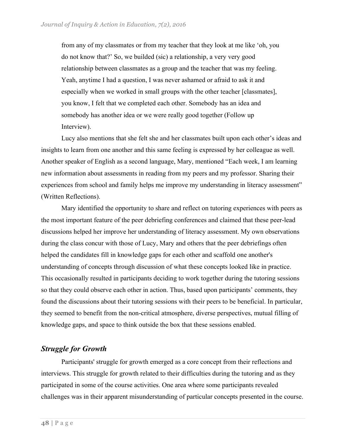from any of my classmates or from my teacher that they look at me like 'oh, you do not know that?' So, we builded (sic) a relationship, a very very good relationship between classmates as a group and the teacher that was my feeling. Yeah, anytime I had a question, I was never ashamed or afraid to ask it and especially when we worked in small groups with the other teacher [classmates], you know, I felt that we completed each other. Somebody has an idea and somebody has another idea or we were really good together (Follow up Interview).

Lucy also mentions that she felt she and her classmates built upon each other's ideas and insights to learn from one another and this same feeling is expressed by her colleague as well. Another speaker of English as a second language, Mary, mentioned "Each week, I am learning new information about assessments in reading from my peers and my professor. Sharing their experiences from school and family helps me improve my understanding in literacy assessment" (Written Reflections).

Mary identified the opportunity to share and reflect on tutoring experiences with peers as the most important feature of the peer debriefing conferences and claimed that these peer-lead discussions helped her improve her understanding of literacy assessment. My own observations during the class concur with those of Lucy, Mary and others that the peer debriefings often helped the candidates fill in knowledge gaps for each other and scaffold one another's understanding of concepts through discussion of what these concepts looked like in practice. This occasionally resulted in participants deciding to work together during the tutoring sessions so that they could observe each other in action. Thus, based upon participants' comments, they found the discussions about their tutoring sessions with their peers to be beneficial. In particular, they seemed to benefit from the non-critical atmosphere, diverse perspectives, mutual filling of knowledge gaps, and space to think outside the box that these sessions enabled.

## *Struggle for Growth*

Participants' struggle for growth emerged as a core concept from their reflections and interviews. This struggle for growth related to their difficulties during the tutoring and as they participated in some of the course activities. One area where some participants revealed challenges was in their apparent misunderstanding of particular concepts presented in the course.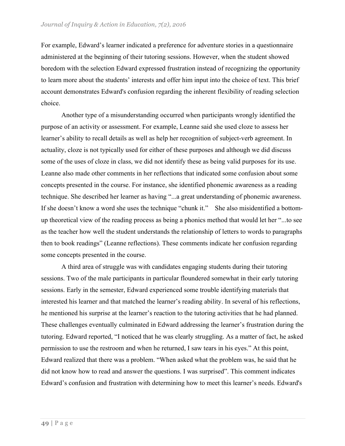For example, Edward's learner indicated a preference for adventure stories in a questionnaire administered at the beginning of their tutoring sessions. However, when the student showed boredom with the selection Edward expressed frustration instead of recognizing the opportunity to learn more about the students' interests and offer him input into the choice of text. This brief account demonstrates Edward's confusion regarding the inherent flexibility of reading selection choice.

Another type of a misunderstanding occurred when participants wrongly identified the purpose of an activity or assessment. For example, Leanne said she used cloze to assess her learner's ability to recall details as well as help her recognition of subject-verb agreement. In actuality, cloze is not typically used for either of these purposes and although we did discuss some of the uses of cloze in class, we did not identify these as being valid purposes for its use. Leanne also made other comments in her reflections that indicated some confusion about some concepts presented in the course. For instance, she identified phonemic awareness as a reading technique. She described her learner as having "...a great understanding of phonemic awareness. If she doesn't know a word she uses the technique "chunk it." She also misidentified a bottomup theoretical view of the reading process as being a phonics method that would let her "...to see as the teacher how well the student understands the relationship of letters to words to paragraphs then to book readings" (Leanne reflections). These comments indicate her confusion regarding some concepts presented in the course.

A third area of struggle was with candidates engaging students during their tutoring sessions. Two of the male participants in particular floundered somewhat in their early tutoring sessions. Early in the semester, Edward experienced some trouble identifying materials that interested his learner and that matched the learner's reading ability. In several of his reflections, he mentioned his surprise at the learner's reaction to the tutoring activities that he had planned. These challenges eventually culminated in Edward addressing the learner's frustration during the tutoring. Edward reported, "I noticed that he was clearly struggling. As a matter of fact, he asked permission to use the restroom and when he returned, I saw tears in his eyes." At this point, Edward realized that there was a problem. "When asked what the problem was, he said that he did not know how to read and answer the questions. I was surprised". This comment indicates Edward's confusion and frustration with determining how to meet this learner's needs. Edward's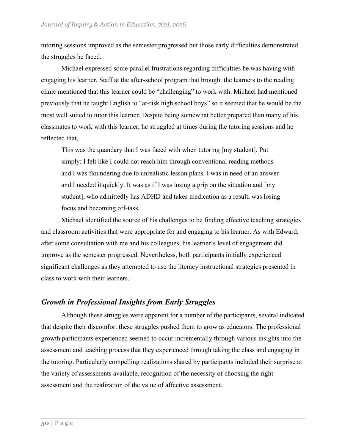tutoring sessions improved as the semester progressed but those early difficulties demonstrated the struggles he faced.

Michael expressed some parallel frustrations regarding difficulties he was having with engaging his learner. Staff at the after-school program that brought the learners to the reading clinic mentioned that this learner could be "challenging" to work with. Michael had mentioned previously that he taught English to "at-risk high school boys" so it seemed that he would be the most well suited to tutor this learner. Despite being somewhat better prepared than many of his classmates to work with this learner, he struggled at times during the tutoring sessions and he reflected that,

This was the quandary that I was faced with when tutoring [my student]. Put simply: I felt like I could not reach him through conventional reading methods and I was floundering due to unrealistic lesson plans. I was in need of an answer and I needed it quickly. It was as if I was losing a grip on the situation and [my student], who admittedly has ADHD and takes medication as a result, was losing focus and becoming off-task.

Michael identified the source of his challenges to be finding effective teaching strategies and classroom activities that were appropriate for and engaging to his learner. As with Edward, after some consultation with me and his colleagues, his learner's level of engagement did improve as the semester progressed. Nevertheless, both participants initially experienced significant challenges as they attempted to use the literacy instructional strategies presented in class to work with their learners.

## *Growth in Professional Insights from Early Struggles*

Although these struggles were apparent for a number of the participants, several indicated that despite their discomfort these struggles pushed them to grow as educators. The professional growth participants experienced seemed to occur incrementally through various insights into the assessment and teaching process that they experienced through taking the class and engaging in the tutoring. Particularly compelling realizations shared by participants included their surprise at the variety of assessments available, recognition of the necessity of choosing the right assessment and the realization of the value of affective assessment.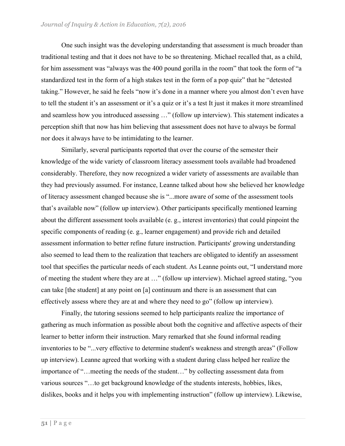One such insight was the developing understanding that assessment is much broader than traditional testing and that it does not have to be so threatening. Michael recalled that, as a child, for him assessment was "always was the 400 pound gorilla in the room" that took the form of "a standardized test in the form of a high stakes test in the form of a pop quiz" that he "detested taking." However, he said he feels "now it's done in a manner where you almost don't even have to tell the student it's an assessment or it's a quiz or it's a test It just it makes it more streamlined and seamless how you introduced assessing …" (follow up interview). This statement indicates a perception shift that now has him believing that assessment does not have to always be formal nor does it always have to be intimidating to the learner.

Similarly, several participants reported that over the course of the semester their knowledge of the wide variety of classroom literacy assessment tools available had broadened considerably. Therefore, they now recognized a wider variety of assessments are available than they had previously assumed. For instance, Leanne talked about how she believed her knowledge of literacy assessment changed because she is "...more aware of some of the assessment tools that's available now" (follow up interview). Other participants specifically mentioned learning about the different assessment tools available (e. g., interest inventories) that could pinpoint the specific components of reading (e. g., learner engagement) and provide rich and detailed assessment information to better refine future instruction. Participants' growing understanding also seemed to lead them to the realization that teachers are obligated to identify an assessment tool that specifies the particular needs of each student. As Leanne points out, "I understand more of meeting the student where they are at …" (follow up interview). Michael agreed stating, "you can take [the student] at any point on [a] continuum and there is an assessment that can effectively assess where they are at and where they need to go" (follow up interview).

Finally, the tutoring sessions seemed to help participants realize the importance of gathering as much information as possible about both the cognitive and affective aspects of their learner to better inform their instruction. Mary remarked that she found informal reading inventories to be "...very effective to determine student's weakness and strength areas" (Follow up interview). Leanne agreed that working with a student during class helped her realize the importance of "…meeting the needs of the student…" by collecting assessment data from various sources "…to get background knowledge of the students interests, hobbies, likes, dislikes, books and it helps you with implementing instruction" (follow up interview). Likewise,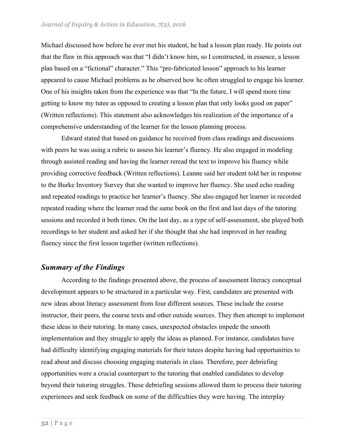Michael discussed how before he ever met his student, he had a lesson plan ready. He points out that the flaw in this approach was that "I didn't know him, so I constructed, in essence, a lesson plan based on a "fictional" character." This "pre-fabricated lesson" approach to his learner appeared to cause Michael problems as he observed how he often struggled to engage his learner. One of his insights taken from the experience was that "In the future, I will spend more time getting to know my tutee as opposed to creating a lesson plan that only looks good on paper" (Written reflections). This statement also acknowledges his realization of the importance of a comprehensive understanding of the learner for the lesson planning process.

Edward stated that based on guidance he received from class readings and discussions with peers he was using a rubric to assess his learner's fluency. He also engaged in modeling through assisted reading and having the learner reread the text to improve his fluency while providing corrective feedback (Written reflections). Leanne said her student told her in response to the Burke Inventory Survey that she wanted to improve her fluency. She used echo reading and repeated readings to practice her learner's fluency. She also engaged her learner in recorded repeated reading where the learner read the same book on the first and last days of the tutoring sessions and recorded it both times. On the last day, as a type of self-assessment, she played both recordings to her student and asked her if she thought that she had improved in her reading fluency since the first lesson together (written reflections).

# *Summary of the Findings*

According to the findings presented above, the process of assessment literacy conceptual development appears to be structured in a particular way. First, candidates are presented with new ideas about literacy assessment from four different sources. These include the course instructor, their peers, the course texts and other outside sources. They then attempt to implement these ideas in their tutoring. In many cases, unexpected obstacles impede the smooth implementation and they struggle to apply the ideas as planned. For instance, candidates have had difficulty identifying engaging materials for their tutees despite having had opportunities to read about and discuss choosing engaging materials in class. Therefore, peer debriefing opportunities were a crucial counterpart to the tutoring that enabled candidates to develop beyond their tutoring struggles. These debriefing sessions allowed them to process their tutoring experiences and seek feedback on some of the difficulties they were having. The interplay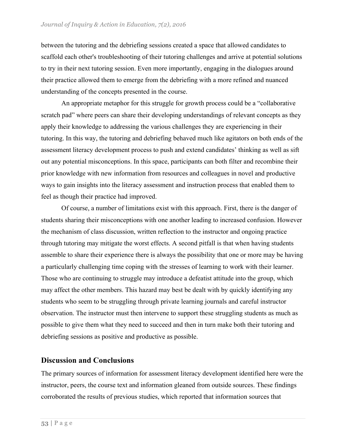between the tutoring and the debriefing sessions created a space that allowed candidates to scaffold each other's troubleshooting of their tutoring challenges and arrive at potential solutions to try in their next tutoring session. Even more importantly, engaging in the dialogues around their practice allowed them to emerge from the debriefing with a more refined and nuanced understanding of the concepts presented in the course.

An appropriate metaphor for this struggle for growth process could be a "collaborative scratch pad" where peers can share their developing understandings of relevant concepts as they apply their knowledge to addressing the various challenges they are experiencing in their tutoring. In this way, the tutoring and debriefing behaved much like agitators on both ends of the assessment literacy development process to push and extend candidates' thinking as well as sift out any potential misconceptions. In this space, participants can both filter and recombine their prior knowledge with new information from resources and colleagues in novel and productive ways to gain insights into the literacy assessment and instruction process that enabled them to feel as though their practice had improved.

Of course, a number of limitations exist with this approach. First, there is the danger of students sharing their misconceptions with one another leading to increased confusion. However the mechanism of class discussion, written reflection to the instructor and ongoing practice through tutoring may mitigate the worst effects. A second pitfall is that when having students assemble to share their experience there is always the possibility that one or more may be having a particularly challenging time coping with the stresses of learning to work with their learner. Those who are continuing to struggle may introduce a defeatist attitude into the group, which may affect the other members. This hazard may best be dealt with by quickly identifying any students who seem to be struggling through private learning journals and careful instructor observation. The instructor must then intervene to support these struggling students as much as possible to give them what they need to succeed and then in turn make both their tutoring and debriefing sessions as positive and productive as possible.

# **Discussion and Conclusions**

The primary sources of information for assessment literacy development identified here were the instructor, peers, the course text and information gleaned from outside sources. These findings corroborated the results of previous studies, which reported that information sources that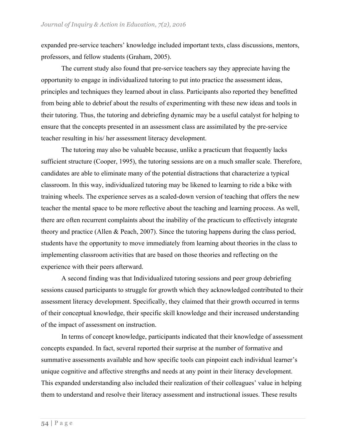expanded pre-service teachers' knowledge included important texts, class discussions, mentors, professors, and fellow students (Graham, 2005).

The current study also found that pre-service teachers say they appreciate having the opportunity to engage in individualized tutoring to put into practice the assessment ideas, principles and techniques they learned about in class. Participants also reported they benefitted from being able to debrief about the results of experimenting with these new ideas and tools in their tutoring. Thus, the tutoring and debriefing dynamic may be a useful catalyst for helping to ensure that the concepts presented in an assessment class are assimilated by the pre-service teacher resulting in his/ her assessment literacy development.

The tutoring may also be valuable because, unlike a practicum that frequently lacks sufficient structure (Cooper, 1995), the tutoring sessions are on a much smaller scale. Therefore, candidates are able to eliminate many of the potential distractions that characterize a typical classroom. In this way, individualized tutoring may be likened to learning to ride a bike with training wheels. The experience serves as a scaled-down version of teaching that offers the new teacher the mental space to be more reflective about the teaching and learning process. As well, there are often recurrent complaints about the inability of the practicum to effectively integrate theory and practice (Allen & Peach, 2007). Since the tutoring happens during the class period, students have the opportunity to move immediately from learning about theories in the class to implementing classroom activities that are based on those theories and reflecting on the experience with their peers afterward.

A second finding was that Individualized tutoring sessions and peer group debriefing sessions caused participants to struggle for growth which they acknowledged contributed to their assessment literacy development. Specifically, they claimed that their growth occurred in terms of their conceptual knowledge, their specific skill knowledge and their increased understanding of the impact of assessment on instruction.

In terms of concept knowledge, participants indicated that their knowledge of assessment concepts expanded. In fact, several reported their surprise at the number of formative and summative assessments available and how specific tools can pinpoint each individual learner's unique cognitive and affective strengths and needs at any point in their literacy development. This expanded understanding also included their realization of their colleagues' value in helping them to understand and resolve their literacy assessment and instructional issues. These results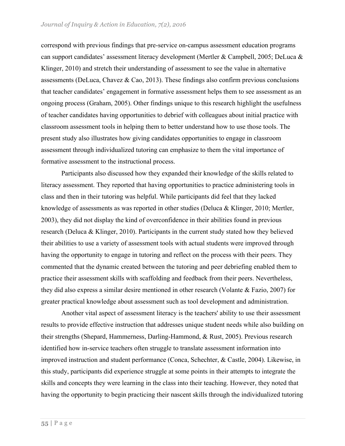correspond with previous findings that pre-service on-campus assessment education programs can support candidates' assessment literacy development (Mertler & Campbell, 2005; DeLuca & Klinger, 2010) and stretch their understanding of assessment to see the value in alternative assessments (DeLuca, Chavez & Cao, 2013). These findings also confirm previous conclusions that teacher candidates' engagement in formative assessment helps them to see assessment as an ongoing process (Graham, 2005). Other findings unique to this research highlight the usefulness of teacher candidates having opportunities to debrief with colleagues about initial practice with classroom assessment tools in helping them to better understand how to use those tools. The present study also illustrates how giving candidates opportunities to engage in classroom assessment through individualized tutoring can emphasize to them the vital importance of formative assessment to the instructional process.

Participants also discussed how they expanded their knowledge of the skills related to literacy assessment. They reported that having opportunities to practice administering tools in class and then in their tutoring was helpful. While participants did feel that they lacked knowledge of assessments as was reported in other studies (Deluca & Klinger, 2010; Mertler, 2003), they did not display the kind of overconfidence in their abilities found in previous research (Deluca & Klinger, 2010). Participants in the current study stated how they believed their abilities to use a variety of assessment tools with actual students were improved through having the opportunity to engage in tutoring and reflect on the process with their peers. They commented that the dynamic created between the tutoring and peer debriefing enabled them to practice their assessment skills with scaffolding and feedback from their peers. Nevertheless, they did also express a similar desire mentioned in other research (Volante & Fazio, 2007) for greater practical knowledge about assessment such as tool development and administration.

Another vital aspect of assessment literacy is the teachers' ability to use their assessment results to provide effective instruction that addresses unique student needs while also building on their strengths (Shepard, Hammerness, Darling-Hammond, & Rust, 2005). Previous research identified how in-service teachers often struggle to translate assessment information into improved instruction and student performance (Conca, Schechter, & Castle, 2004). Likewise, in this study, participants did experience struggle at some points in their attempts to integrate the skills and concepts they were learning in the class into their teaching. However, they noted that having the opportunity to begin practicing their nascent skills through the individualized tutoring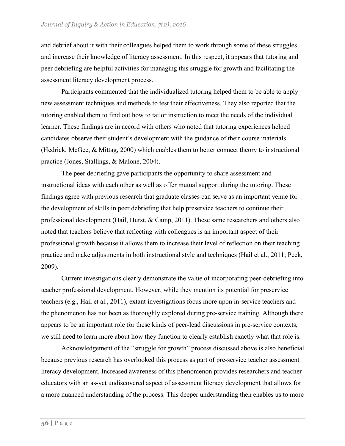#### *Journal of Inquiry & Action in Education, 7(2), 2016*

and debrief about it with their colleagues helped them to work through some of these struggles and increase their knowledge of literacy assessment. In this respect, it appears that tutoring and peer debriefing are helpful activities for managing this struggle for growth and facilitating the assessment literacy development process.

Participants commented that the individualized tutoring helped them to be able to apply new assessment techniques and methods to test their effectiveness. They also reported that the tutoring enabled them to find out how to tailor instruction to meet the needs of the individual learner. These findings are in accord with others who noted that tutoring experiences helped candidates observe their student's development with the guidance of their course materials (Hedrick, McGee, & Mittag, 2000) which enables them to better connect theory to instructional practice (Jones, Stallings, & Malone, 2004).

The peer debriefing gave participants the opportunity to share assessment and instructional ideas with each other as well as offer mutual support during the tutoring. These findings agree with previous research that graduate classes can serve as an important venue for the development of skills in peer debriefing that help preservice teachers to continue their professional development (Hail, Hurst, & Camp, 2011). These same researchers and others also noted that teachers believe that reflecting with colleagues is an important aspect of their professional growth because it allows them to increase their level of reflection on their teaching practice and make adjustments in both instructional style and techniques (Hail et al., 2011; Peck, 2009).

Current investigations clearly demonstrate the value of incorporating peer-debriefing into teacher professional development. However, while they mention its potential for preservice teachers (e.g., Hail et al., 2011), extant investigations focus more upon in-service teachers and the phenomenon has not been as thoroughly explored during pre-service training. Although there appears to be an important role for these kinds of peer-lead discussions in pre-service contexts, we still need to learn more about how they function to clearly establish exactly what that role is.

Acknowledgement of the "struggle for growth" process discussed above is also beneficial because previous research has overlooked this process as part of pre-service teacher assessment literacy development. Increased awareness of this phenomenon provides researchers and teacher educators with an as-yet undiscovered aspect of assessment literacy development that allows for a more nuanced understanding of the process. This deeper understanding then enables us to more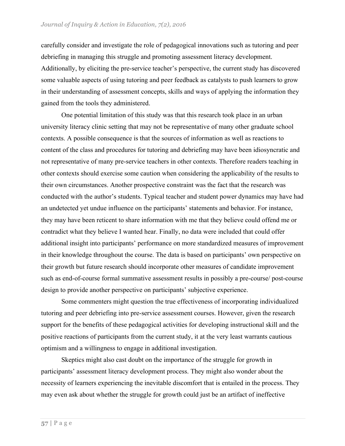#### *Journal of Inquiry & Action in Education, 7(2), 2016*

carefully consider and investigate the role of pedagogical innovations such as tutoring and peer debriefing in managing this struggle and promoting assessment literacy development. Additionally, by eliciting the pre-service teacher's perspective, the current study has discovered some valuable aspects of using tutoring and peer feedback as catalysts to push learners to grow in their understanding of assessment concepts, skills and ways of applying the information they gained from the tools they administered.

One potential limitation of this study was that this research took place in an urban university literacy clinic setting that may not be representative of many other graduate school contexts. A possible consequence is that the sources of information as well as reactions to content of the class and procedures for tutoring and debriefing may have been idiosyncratic and not representative of many pre-service teachers in other contexts. Therefore readers teaching in other contexts should exercise some caution when considering the applicability of the results to their own circumstances. Another prospective constraint was the fact that the research was conducted with the author's students. Typical teacher and student power dynamics may have had an undetected yet undue influence on the participants' statements and behavior. For instance, they may have been reticent to share information with me that they believe could offend me or contradict what they believe I wanted hear. Finally, no data were included that could offer additional insight into participants' performance on more standardized measures of improvement in their knowledge throughout the course. The data is based on participants' own perspective on their growth but future research should incorporate other measures of candidate improvement such as end-of-course formal summative assessment results in possibly a pre-course/ post-course design to provide another perspective on participants' subjective experience.

Some commenters might question the true effectiveness of incorporating individualized tutoring and peer debriefing into pre-service assessment courses. However, given the research support for the benefits of these pedagogical activities for developing instructional skill and the positive reactions of participants from the current study, it at the very least warrants cautious optimism and a willingness to engage in additional investigation.

Skeptics might also cast doubt on the importance of the struggle for growth in participants' assessment literacy development process. They might also wonder about the necessity of learners experiencing the inevitable discomfort that is entailed in the process. They may even ask about whether the struggle for growth could just be an artifact of ineffective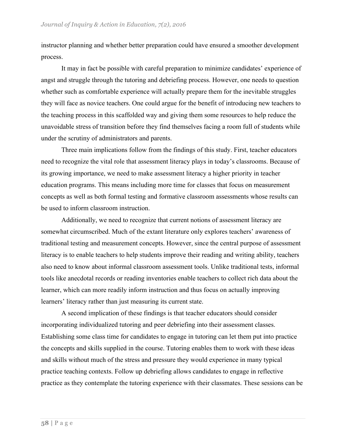instructor planning and whether better preparation could have ensured a smoother development process.

It may in fact be possible with careful preparation to minimize candidates' experience of angst and struggle through the tutoring and debriefing process. However, one needs to question whether such as comfortable experience will actually prepare them for the inevitable struggles they will face as novice teachers. One could argue for the benefit of introducing new teachers to the teaching process in this scaffolded way and giving them some resources to help reduce the unavoidable stress of transition before they find themselves facing a room full of students while under the scrutiny of administrators and parents.

Three main implications follow from the findings of this study. First, teacher educators need to recognize the vital role that assessment literacy plays in today's classrooms. Because of its growing importance, we need to make assessment literacy a higher priority in teacher education programs. This means including more time for classes that focus on measurement concepts as well as both formal testing and formative classroom assessments whose results can be used to inform classroom instruction.

Additionally, we need to recognize that current notions of assessment literacy are somewhat circumscribed. Much of the extant literature only explores teachers' awareness of traditional testing and measurement concepts. However, since the central purpose of assessment literacy is to enable teachers to help students improve their reading and writing ability, teachers also need to know about informal classroom assessment tools. Unlike traditional tests, informal tools like anecdotal records or reading inventories enable teachers to collect rich data about the learner, which can more readily inform instruction and thus focus on actually improving learners' literacy rather than just measuring its current state.

A second implication of these findings is that teacher educators should consider incorporating individualized tutoring and peer debriefing into their assessment classes. Establishing some class time for candidates to engage in tutoring can let them put into practice the concepts and skills supplied in the course. Tutoring enables them to work with these ideas and skills without much of the stress and pressure they would experience in many typical practice teaching contexts. Follow up debriefing allows candidates to engage in reflective practice as they contemplate the tutoring experience with their classmates. These sessions can be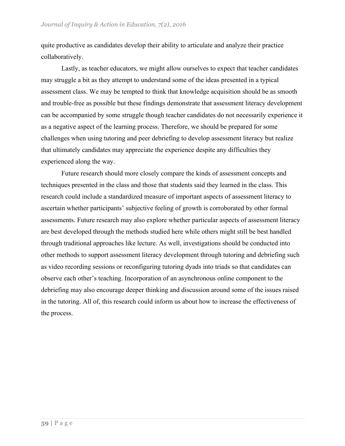quite productive as candidates develop their ability to articulate and analyze their practice collaboratively.

Lastly, as teacher educators, we might allow ourselves to expect that teacher candidates may struggle a bit as they attempt to understand some of the ideas presented in a typical assessment class. We may be tempted to think that knowledge acquisition should be as smooth and trouble-free as possible but these findings demonstrate that assessment literacy development can be accompanied by some struggle though teacher candidates do not necessarily experience it as a negative aspect of the learning process. Therefore, we should be prepared for some challenges when using tutoring and peer debriefing to develop assessment literacy but realize that ultimately candidates may appreciate the experience despite any difficulties they experienced along the way.

Future research should more closely compare the kinds of assessment concepts and techniques presented in the class and those that students said they learned in the class. This research could include a standardized measure of important aspects of assessment literacy to ascertain whether participants' subjective feeling of growth is corroborated by other formal assessments. Future research may also explore whether particular aspects of assessment literacy are best developed through the methods studied here while others might still be best handled through traditional approaches like lecture. As well, investigations should be conducted into other methods to support assessment literacy development through tutoring and debriefing such as video recording sessions or reconfiguring tutoring dyads into triads so that candidates can observe each other's teaching. Incorporation of an asynchronous online component to the debriefing may also encourage deeper thinking and discussion around some of the issues raised in the tutoring. All of, this research could inform us about how to increase the effectiveness of the process.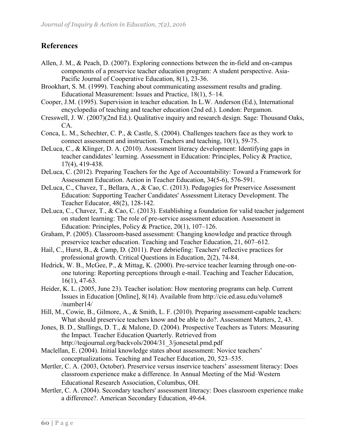# **References**

- Allen, J. M., & Peach, D. (2007). Exploring connections between the in-field and on-campus components of a preservice teacher education program: A student perspective. Asia-Pacific Journal of Cooperative Education, 8(1), 23-36.
- Brookhart, S. M. (1999). Teaching about communicating assessment results and grading. Educational Measurement: Issues and Practice, 18(1), 5–14.
- Cooper, J.M. (1995). Supervision in teacher education. In L.W. Anderson (Ed.), International encyclopedia of teaching and teacher education (2nd ed.). London: Pergamon.
- Cresswell, J. W. (2007)(2nd Ed.). Qualitative inquiry and research design. Sage: Thousand Oaks, CA.
- Conca, L. M., Schechter, C. P., & Castle, S. (2004). Challenges teachers face as they work to connect assessment and instruction. Teachers and teaching, 10(1), 59-75.
- DeLuca, C., & Klinger, D. A. (2010). Assessment literacy development: Identifying gaps in teacher candidates' learning. Assessment in Education: Principles, Policy & Practice, 17(4), 419-438.
- DeLuca, C. (2012). Preparing Teachers for the Age of Accountability: Toward a Framework for Assessment Education. Action in Teacher Education, 34(5-6), 576-591.
- DeLuca, C., Chavez, T., Bellara, A., & Cao, C. (2013). Pedagogies for Preservice Assessment Education: Supporting Teacher Candidates' Assessment Literacy Development. The Teacher Educator, 48(2), 128-142.
- DeLuca, C., Chavez, T., & Cao, C. (2013). Establishing a foundation for valid teacher judgement on student learning: The role of pre-service assessment education. Assessment in Education: Principles, Policy & Practice, 20(1), 107–126.
- Graham, P. (2005). Classroom-based assessment: Changing knowledge and practice through preservice teacher education. Teaching and Teacher Education, 21, 607–612.
- Hail, C., Hurst, B., & Camp, D. (2011). Peer debriefing: Teachers' reflective practices for professional growth. Critical Questions in Education, 2(2), 74-84.
- Hedrick, W. B., McGee, P., & Mittag, K. (2000). Pre-service teacher learning through one-onone tutoring: Reporting perceptions through e-mail. Teaching and Teacher Education, 16(1), 47-63.
- Heider, K. L. (2005, June 23). Teacher isolation: How mentoring programs can help. Current Issues in Education [Online], 8(14). Available from http://cie.ed.asu.edu/volume8 /number14/
- Hill, M., Cowie, B., Gilmore, A., & Smith, L. F. (2010). Preparing assessment-capable teachers: What should preservice teachers know and be able to do?. Assessment Matters, 2, 43.
- Jones, B. D., Stallings, D. T., & Malone, D. (2004). Prospective Teachers as Tutors: Measuring the Impact. Teacher Education Quarterly. Retrieved from http://teqjournal.org/backvols/2004/31\_3/jonesetal.pmd.pdf
- Maclellan, E. (2004). Initial knowledge states about assessment: Novice teachers' conceptualizations. Teaching and Teacher Education, 20, 523–535.
- Mertler, C. A. (2003, October). Preservice versus inservice teachers' assessment literacy: Does classroom experience make a difference. In Annual Meeting of the Mid-Western Educational Research Association, Columbus, OH.
- Mertler, C. A. (2004). Secondary teachers' assessment literacy: Does classroom experience make a difference?. American Secondary Education, 49-64.